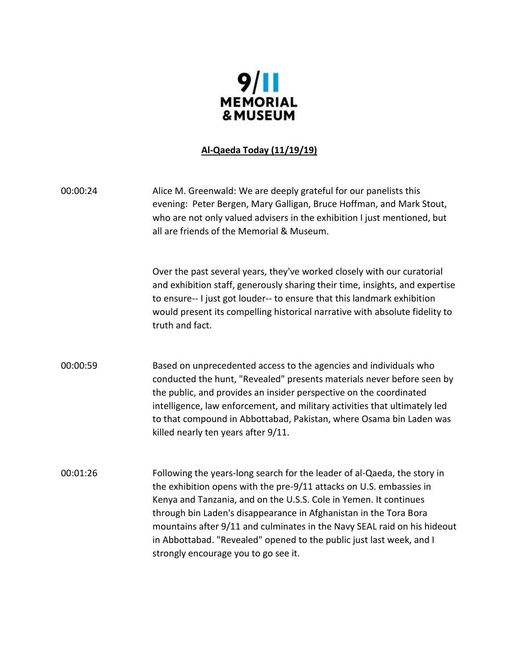

## **Al-Qaeda Today (11/19/19)**

| 00:00:24 | Alice M. Greenwald: We are deeply grateful for our panelists this<br>evening: Peter Bergen, Mary Galligan, Bruce Hoffman, and Mark Stout,<br>who are not only valued advisers in the exhibition I just mentioned, but<br>all are friends of the Memorial & Museum.                                                                                                                                                                                                                    |
|----------|---------------------------------------------------------------------------------------------------------------------------------------------------------------------------------------------------------------------------------------------------------------------------------------------------------------------------------------------------------------------------------------------------------------------------------------------------------------------------------------|
|          | Over the past several years, they've worked closely with our curatorial<br>and exhibition staff, generously sharing their time, insights, and expertise<br>to ensure-- I just got louder-- to ensure that this landmark exhibition<br>would present its compelling historical narrative with absolute fidelity to<br>truth and fact.                                                                                                                                                  |
| 00:00:59 | Based on unprecedented access to the agencies and individuals who<br>conducted the hunt, "Revealed" presents materials never before seen by<br>the public, and provides an insider perspective on the coordinated<br>intelligence, law enforcement, and military activities that ultimately led<br>to that compound in Abbottabad, Pakistan, where Osama bin Laden was<br>killed nearly ten years after 9/11.                                                                         |
| 00:01:26 | Following the years-long search for the leader of al-Qaeda, the story in<br>the exhibition opens with the pre-9/11 attacks on U.S. embassies in<br>Kenya and Tanzania, and on the U.S.S. Cole in Yemen. It continues<br>through bin Laden's disappearance in Afghanistan in the Tora Bora<br>mountains after 9/11 and culminates in the Navy SEAL raid on his hideout<br>in Abbottabad. "Revealed" opened to the public just last week, and I<br>strongly encourage you to go see it. |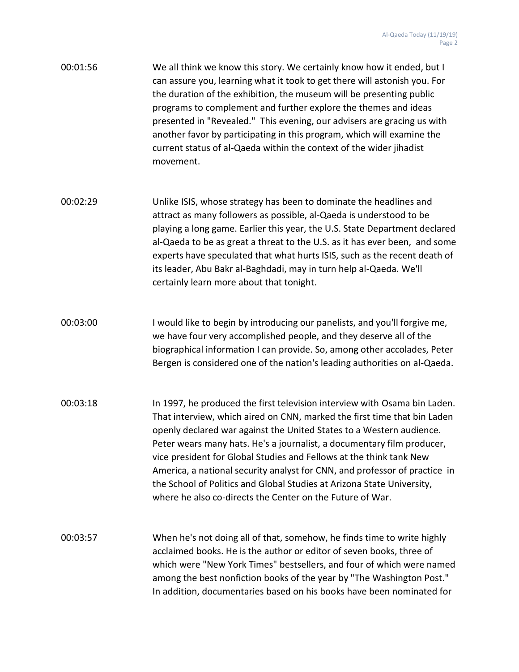| 00:01:56 | We all think we know this story. We certainly know how it ended, but I    |
|----------|---------------------------------------------------------------------------|
|          | can assure you, learning what it took to get there will astonish you. For |
|          | the duration of the exhibition, the museum will be presenting public      |
|          | programs to complement and further explore the themes and ideas           |
|          | presented in "Revealed." This evening, our advisers are gracing us with   |
|          | another favor by participating in this program, which will examine the    |
|          | current status of al-Qaeda within the context of the wider jihadist       |
|          | movement.                                                                 |

- 00:02:29 Unlike ISIS, whose strategy has been to dominate the headlines and attract as many followers as possible, al-Qaeda is understood to be playing a long game. Earlier this year, the U.S. State Department declared al-Qaeda to be as great a threat to the U.S. as it has ever been, and some experts have speculated that what hurts ISIS, such as the recent death of its leader, Abu Bakr al-Baghdadi, may in turn help al-Qaeda. We'll certainly learn more about that tonight.
- 00:03:00 I would like to begin by introducing our panelists, and you'll forgive me, we have four very accomplished people, and they deserve all of the biographical information I can provide. So, among other accolades, Peter Bergen is considered one of the nation's leading authorities on al-Qaeda.
- 00:03:18 In 1997, he produced the first television interview with Osama bin Laden. That interview, which aired on CNN, marked the first time that bin Laden openly declared war against the United States to a Western audience. Peter wears many hats. He's a journalist, a documentary film producer, vice president for Global Studies and Fellows at the think tank New America, a national security analyst for CNN, and professor of practice in the School of Politics and Global Studies at Arizona State University, where he also co-directs the Center on the Future of War.
- 00:03:57 When he's not doing all of that, somehow, he finds time to write highly acclaimed books. He is the author or editor of seven books, three of which were "New York Times" bestsellers, and four of which were named among the best nonfiction books of the year by "The Washington Post." In addition, documentaries based on his books have been nominated for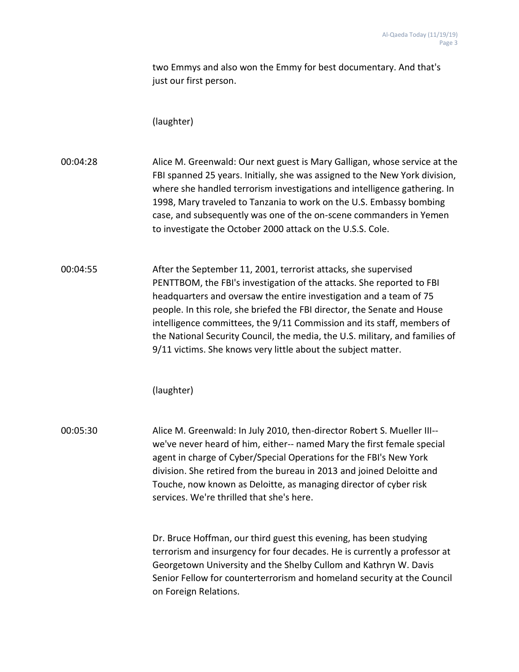two Emmys and also won the Emmy for best documentary. And that's just our first person.

(laughter)

00:04:28 Alice M. Greenwald: Our next guest is Mary Galligan, whose service at the FBI spanned 25 years. Initially, she was assigned to the New York division, where she handled terrorism investigations and intelligence gathering. In 1998, Mary traveled to Tanzania to work on the U.S. Embassy bombing case, and subsequently was one of the on-scene commanders in Yemen to investigate the October 2000 attack on the U.S.S. Cole.

00:04:55 After the September 11, 2001, terrorist attacks, she supervised PENTTBOM, the FBI's investigation of the attacks. She reported to FBI headquarters and oversaw the entire investigation and a team of 75 people. In this role, she briefed the FBI director, the Senate and House intelligence committees, the 9/11 Commission and its staff, members of the National Security Council, the media, the U.S. military, and families of 9/11 victims. She knows very little about the subject matter.

(laughter)

00:05:30 Alice M. Greenwald: In July 2010, then-director Robert S. Mueller III- we've never heard of him, either-- named Mary the first female special agent in charge of Cyber/Special Operations for the FBI's New York division. She retired from the bureau in 2013 and joined Deloitte and Touche, now known as Deloitte, as managing director of cyber risk services. We're thrilled that she's here.

> Dr. Bruce Hoffman, our third guest this evening, has been studying terrorism and insurgency for four decades. He is currently a professor at Georgetown University and the Shelby Cullom and Kathryn W. Davis Senior Fellow for counterterrorism and homeland security at the Council on Foreign Relations.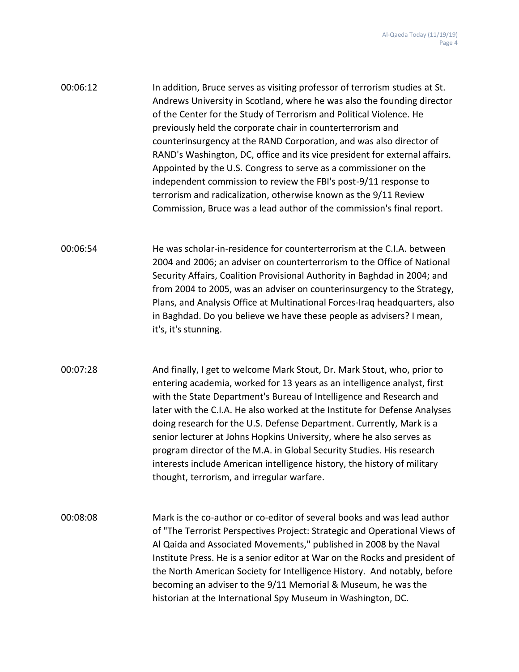00:06:12 In addition, Bruce serves as visiting professor of terrorism studies at St. Andrews University in Scotland, where he was also the founding director of the Center for the Study of Terrorism and Political Violence. He previously held the corporate chair in counterterrorism and counterinsurgency at the RAND Corporation, and was also director of RAND's Washington, DC, office and its vice president for external affairs. Appointed by the U.S. Congress to serve as a commissioner on the independent commission to review the FBI's post-9/11 response to terrorism and radicalization, otherwise known as the 9/11 Review Commission, Bruce was a lead author of the commission's final report.

00:06:54 He was scholar-in-residence for counterterrorism at the C.I.A. between 2004 and 2006; an adviser on counterterrorism to the Office of National Security Affairs, Coalition Provisional Authority in Baghdad in 2004; and from 2004 to 2005, was an adviser on counterinsurgency to the Strategy, Plans, and Analysis Office at Multinational Forces-Iraq headquarters, also in Baghdad. Do you believe we have these people as advisers? I mean, it's, it's stunning.

00:07:28 And finally, I get to welcome Mark Stout, Dr. Mark Stout, who, prior to entering academia, worked for 13 years as an intelligence analyst, first with the State Department's Bureau of Intelligence and Research and later with the C.I.A. He also worked at the Institute for Defense Analyses doing research for the U.S. Defense Department. Currently, Mark is a senior lecturer at Johns Hopkins University, where he also serves as program director of the M.A. in Global Security Studies. His research interests include American intelligence history, the history of military thought, terrorism, and irregular warfare.

00:08:08 Mark is the co-author or co-editor of several books and was lead author of "The Terrorist Perspectives Project: Strategic and Operational Views of Al Qaida and Associated Movements," published in 2008 by the Naval Institute Press. He is a senior editor at War on the Rocks and president of the North American Society for Intelligence History. And notably, before becoming an adviser to the 9/11 Memorial & Museum, he was the historian at the International Spy Museum in Washington, DC.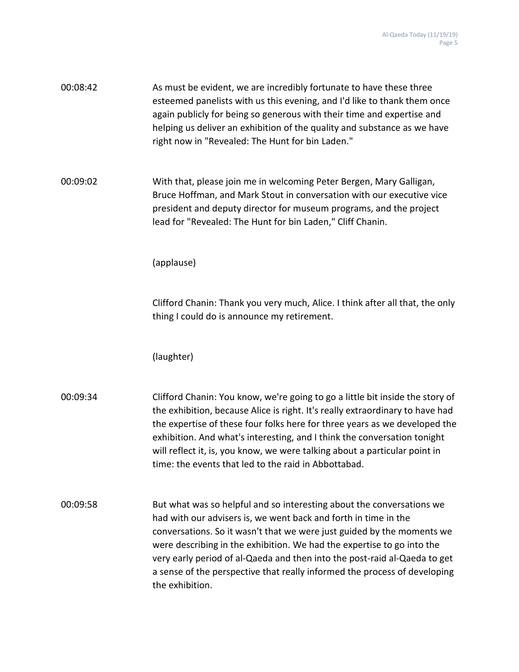| 00:08:42 | As must be evident, we are incredibly fortunate to have these three      |
|----------|--------------------------------------------------------------------------|
|          | esteemed panelists with us this evening, and I'd like to thank them once |
|          | again publicly for being so generous with their time and expertise and   |
|          | helping us deliver an exhibition of the quality and substance as we have |
|          | right now in "Revealed: The Hunt for bin Laden."                         |

00:09:02 With that, please join me in welcoming Peter Bergen, Mary Galligan, Bruce Hoffman, and Mark Stout in conversation with our executive vice president and deputy director for museum programs, and the project lead for "Revealed: The Hunt for bin Laden," Cliff Chanin.

(applause)

Clifford Chanin: Thank you very much, Alice. I think after all that, the only thing I could do is announce my retirement.

(laughter)

- 00:09:34 Clifford Chanin: You know, we're going to go a little bit inside the story of the exhibition, because Alice is right. It's really extraordinary to have had the expertise of these four folks here for three years as we developed the exhibition. And what's interesting, and I think the conversation tonight will reflect it, is, you know, we were talking about a particular point in time: the events that led to the raid in Abbottabad.
- 00:09:58 But what was so helpful and so interesting about the conversations we had with our advisers is, we went back and forth in time in the conversations. So it wasn't that we were just guided by the moments we were describing in the exhibition. We had the expertise to go into the very early period of al-Qaeda and then into the post-raid al-Qaeda to get a sense of the perspective that really informed the process of developing the exhibition.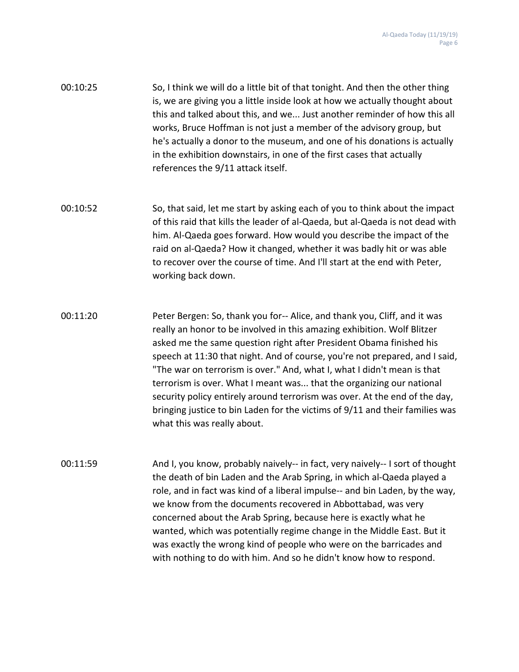| 00:10:25 | So, I think we will do a little bit of that tonight. And then the other thing |
|----------|-------------------------------------------------------------------------------|
|          | is, we are giving you a little inside look at how we actually thought about   |
|          | this and talked about this, and we Just another reminder of how this all      |
|          | works, Bruce Hoffman is not just a member of the advisory group, but          |
|          | he's actually a donor to the museum, and one of his donations is actually     |
|          | in the exhibition downstairs, in one of the first cases that actually         |
|          | references the 9/11 attack itself.                                            |

- 00:10:52 So, that said, let me start by asking each of you to think about the impact of this raid that kills the leader of al-Qaeda, but al-Qaeda is not dead with him. Al-Qaeda goes forward. How would you describe the impact of the raid on al-Qaeda? How it changed, whether it was badly hit or was able to recover over the course of time. And I'll start at the end with Peter, working back down.
- 00:11:20 Peter Bergen: So, thank you for-- Alice, and thank you, Cliff, and it was really an honor to be involved in this amazing exhibition. Wolf Blitzer asked me the same question right after President Obama finished his speech at 11:30 that night. And of course, you're not prepared, and I said, "The war on terrorism is over." And, what I, what I didn't mean is that terrorism is over. What I meant was... that the organizing our national security policy entirely around terrorism was over. At the end of the day, bringing justice to bin Laden for the victims of 9/11 and their families was what this was really about.
- 00:11:59 And I, you know, probably naively-- in fact, very naively-- I sort of thought the death of bin Laden and the Arab Spring, in which al-Qaeda played a role, and in fact was kind of a liberal impulse-- and bin Laden, by the way, we know from the documents recovered in Abbottabad, was very concerned about the Arab Spring, because here is exactly what he wanted, which was potentially regime change in the Middle East. But it was exactly the wrong kind of people who were on the barricades and with nothing to do with him. And so he didn't know how to respond.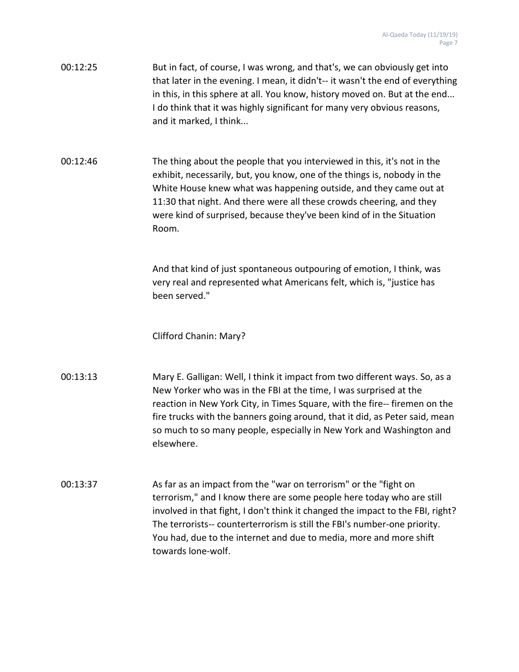| 00:12:25 | But in fact, of course, I was wrong, and that's, we can obviously get into     |
|----------|--------------------------------------------------------------------------------|
|          | that later in the evening. I mean, it didn't-- it wasn't the end of everything |
|          | in this, in this sphere at all. You know, history moved on. But at the end     |
|          | I do think that it was highly significant for many very obvious reasons,       |
|          | and it marked, I think                                                         |

00:12:46 The thing about the people that you interviewed in this, it's not in the exhibit, necessarily, but, you know, one of the things is, nobody in the White House knew what was happening outside, and they came out at 11:30 that night. And there were all these crowds cheering, and they were kind of surprised, because they've been kind of in the Situation Room.

> And that kind of just spontaneous outpouring of emotion, I think, was very real and represented what Americans felt, which is, "justice has been served."

Clifford Chanin: Mary?

- 00:13:13 Mary E. Galligan: Well, I think it impact from two different ways. So, as a New Yorker who was in the FBI at the time, I was surprised at the reaction in New York City, in Times Square, with the fire-- firemen on the fire trucks with the banners going around, that it did, as Peter said, mean so much to so many people, especially in New York and Washington and elsewhere.
- 00:13:37 As far as an impact from the "war on terrorism" or the "fight on terrorism," and I know there are some people here today who are still involved in that fight, I don't think it changed the impact to the FBI, right? The terrorists-- counterterrorism is still the FBI's number-one priority. You had, due to the internet and due to media, more and more shift towards lone-wolf.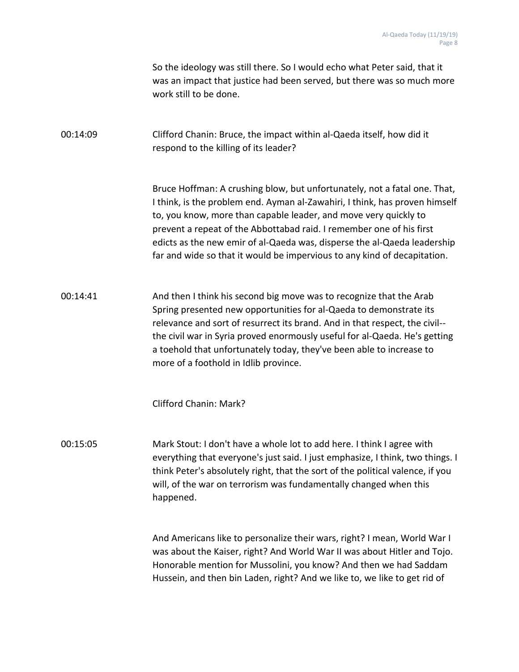So the ideology was still there. So I would echo what Peter said, that it was an impact that justice had been served, but there was so much more work still to be done.

00:14:09 Clifford Chanin: Bruce, the impact within al-Qaeda itself, how did it respond to the killing of its leader?

> Bruce Hoffman: A crushing blow, but unfortunately, not a fatal one. That, I think, is the problem end. Ayman al-Zawahiri, I think, has proven himself to, you know, more than capable leader, and move very quickly to prevent a repeat of the Abbottabad raid. I remember one of his first edicts as the new emir of al-Qaeda was, disperse the al-Qaeda leadership far and wide so that it would be impervious to any kind of decapitation.

00:14:41 And then I think his second big move was to recognize that the Arab Spring presented new opportunities for al-Qaeda to demonstrate its relevance and sort of resurrect its brand. And in that respect, the civil- the civil war in Syria proved enormously useful for al-Qaeda. He's getting a toehold that unfortunately today, they've been able to increase to more of a foothold in Idlib province.

Clifford Chanin: Mark?

00:15:05 Mark Stout: I don't have a whole lot to add here. I think I agree with everything that everyone's just said. I just emphasize, I think, two things. I think Peter's absolutely right, that the sort of the political valence, if you will, of the war on terrorism was fundamentally changed when this happened.

> And Americans like to personalize their wars, right? I mean, World War I was about the Kaiser, right? And World War II was about Hitler and Tojo. Honorable mention for Mussolini, you know? And then we had Saddam Hussein, and then bin Laden, right? And we like to, we like to get rid of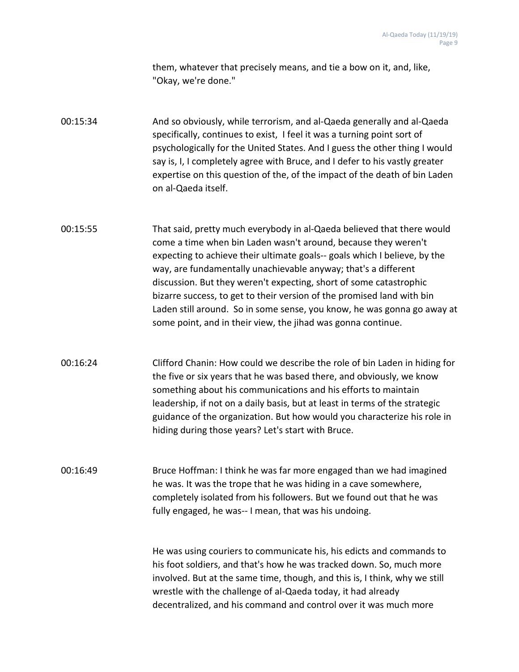them, whatever that precisely means, and tie a bow on it, and, like, "Okay, we're done."

00:15:34 And so obviously, while terrorism, and al-Qaeda generally and al-Qaeda specifically, continues to exist, I feel it was a turning point sort of psychologically for the United States. And I guess the other thing I would say is, I, I completely agree with Bruce, and I defer to his vastly greater expertise on this question of the, of the impact of the death of bin Laden on al-Qaeda itself.

- 00:15:55 That said, pretty much everybody in al-Qaeda believed that there would come a time when bin Laden wasn't around, because they weren't expecting to achieve their ultimate goals-- goals which I believe, by the way, are fundamentally unachievable anyway; that's a different discussion. But they weren't expecting, short of some catastrophic bizarre success, to get to their version of the promised land with bin Laden still around. So in some sense, you know, he was gonna go away at some point, and in their view, the jihad was gonna continue.
- 00:16:24 Clifford Chanin: How could we describe the role of bin Laden in hiding for the five or six years that he was based there, and obviously, we know something about his communications and his efforts to maintain leadership, if not on a daily basis, but at least in terms of the strategic guidance of the organization. But how would you characterize his role in hiding during those years? Let's start with Bruce.
- 00:16:49 Bruce Hoffman: I think he was far more engaged than we had imagined he was. It was the trope that he was hiding in a cave somewhere, completely isolated from his followers. But we found out that he was fully engaged, he was-- I mean, that was his undoing.

He was using couriers to communicate his, his edicts and commands to his foot soldiers, and that's how he was tracked down. So, much more involved. But at the same time, though, and this is, I think, why we still wrestle with the challenge of al-Qaeda today, it had already decentralized, and his command and control over it was much more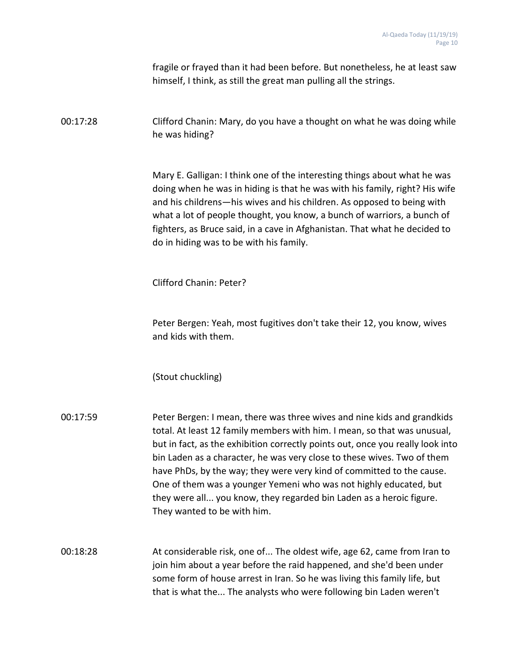fragile or frayed than it had been before. But nonetheless, he at least saw himself, I think, as still the great man pulling all the strings.

00:17:28 Clifford Chanin: Mary, do you have a thought on what he was doing while he was hiding?

> Mary E. Galligan: I think one of the interesting things about what he was doing when he was in hiding is that he was with his family, right? His wife and his childrens—his wives and his children. As opposed to being with what a lot of people thought, you know, a bunch of warriors, a bunch of fighters, as Bruce said, in a cave in Afghanistan. That what he decided to do in hiding was to be with his family.

Clifford Chanin: Peter?

Peter Bergen: Yeah, most fugitives don't take their 12, you know, wives and kids with them.

(Stout chuckling)

- 00:17:59 Peter Bergen: I mean, there was three wives and nine kids and grandkids total. At least 12 family members with him. I mean, so that was unusual, but in fact, as the exhibition correctly points out, once you really look into bin Laden as a character, he was very close to these wives. Two of them have PhDs, by the way; they were very kind of committed to the cause. One of them was a younger Yemeni who was not highly educated, but they were all... you know, they regarded bin Laden as a heroic figure. They wanted to be with him.
- 00:18:28 At considerable risk, one of... The oldest wife, age 62, came from Iran to join him about a year before the raid happened, and she'd been under some form of house arrest in Iran. So he was living this family life, but that is what the... The analysts who were following bin Laden weren't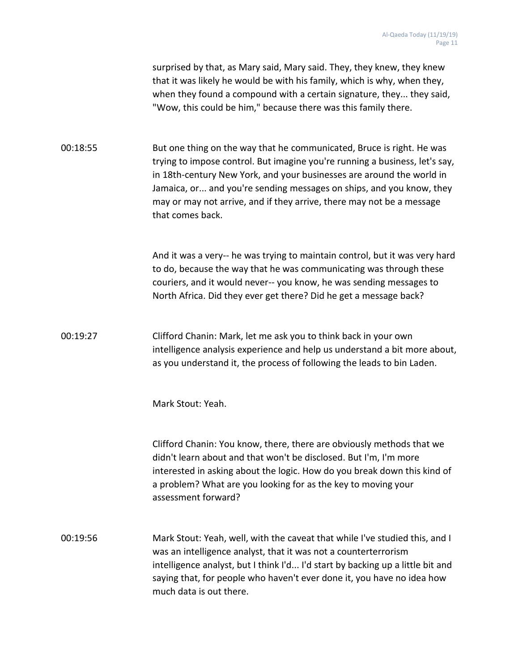surprised by that, as Mary said, Mary said. They, they knew, they knew that it was likely he would be with his family, which is why, when they, when they found a compound with a certain signature, they... they said, "Wow, this could be him," because there was this family there.

00:18:55 But one thing on the way that he communicated, Bruce is right. He was trying to impose control. But imagine you're running a business, let's say, in 18th-century New York, and your businesses are around the world in Jamaica, or... and you're sending messages on ships, and you know, they may or may not arrive, and if they arrive, there may not be a message that comes back.

> And it was a very-- he was trying to maintain control, but it was very hard to do, because the way that he was communicating was through these couriers, and it would never-- you know, he was sending messages to North Africa. Did they ever get there? Did he get a message back?

00:19:27 Clifford Chanin: Mark, let me ask you to think back in your own intelligence analysis experience and help us understand a bit more about, as you understand it, the process of following the leads to bin Laden.

Mark Stout: Yeah.

Clifford Chanin: You know, there, there are obviously methods that we didn't learn about and that won't be disclosed. But I'm, I'm more interested in asking about the logic. How do you break down this kind of a problem? What are you looking for as the key to moving your assessment forward?

00:19:56 Mark Stout: Yeah, well, with the caveat that while I've studied this, and I was an intelligence analyst, that it was not a counterterrorism intelligence analyst, but I think I'd... I'd start by backing up a little bit and saying that, for people who haven't ever done it, you have no idea how much data is out there.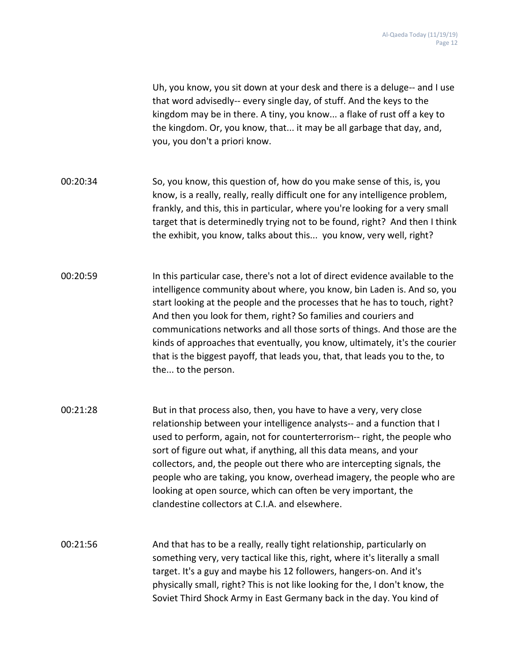Uh, you know, you sit down at your desk and there is a deluge-- and I use that word advisedly-- every single day, of stuff. And the keys to the kingdom may be in there. A tiny, you know... a flake of rust off a key to the kingdom. Or, you know, that... it may be all garbage that day, and, you, you don't a priori know.

00:20:34 So, you know, this question of, how do you make sense of this, is, you know, is a really, really, really difficult one for any intelligence problem, frankly, and this, this in particular, where you're looking for a very small target that is determinedly trying not to be found, right? And then I think the exhibit, you know, talks about this... you know, very well, right?

- 00:20:59 In this particular case, there's not a lot of direct evidence available to the intelligence community about where, you know, bin Laden is. And so, you start looking at the people and the processes that he has to touch, right? And then you look for them, right? So families and couriers and communications networks and all those sorts of things. And those are the kinds of approaches that eventually, you know, ultimately, it's the courier that is the biggest payoff, that leads you, that, that leads you to the, to the... to the person.
- 00:21:28 But in that process also, then, you have to have a very, very close relationship between your intelligence analysts-- and a function that I used to perform, again, not for counterterrorism-- right, the people who sort of figure out what, if anything, all this data means, and your collectors, and, the people out there who are intercepting signals, the people who are taking, you know, overhead imagery, the people who are looking at open source, which can often be very important, the clandestine collectors at C.I.A. and elsewhere.
- 00:21:56 And that has to be a really, really tight relationship, particularly on something very, very tactical like this, right, where it's literally a small target. It's a guy and maybe his 12 followers, hangers-on. And it's physically small, right? This is not like looking for the, I don't know, the Soviet Third Shock Army in East Germany back in the day. You kind of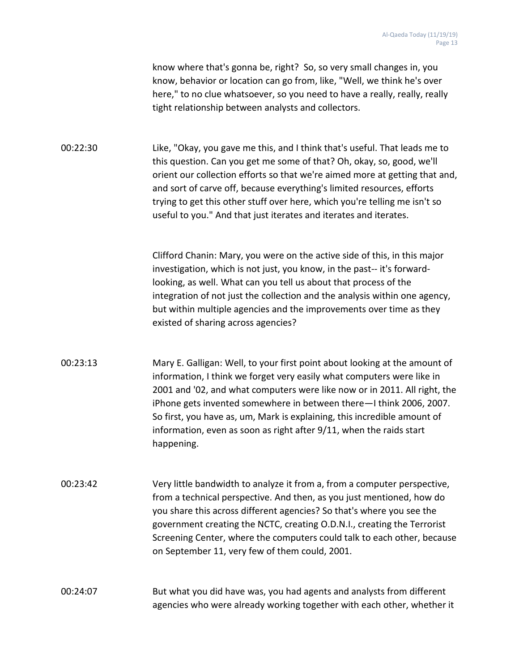know where that's gonna be, right? So, so very small changes in, you know, behavior or location can go from, like, "Well, we think he's over here," to no clue whatsoever, so you need to have a really, really, really tight relationship between analysts and collectors.

00:22:30 Like, "Okay, you gave me this, and I think that's useful. That leads me to this question. Can you get me some of that? Oh, okay, so, good, we'll orient our collection efforts so that we're aimed more at getting that and, and sort of carve off, because everything's limited resources, efforts trying to get this other stuff over here, which you're telling me isn't so useful to you." And that just iterates and iterates and iterates.

> Clifford Chanin: Mary, you were on the active side of this, in this major investigation, which is not just, you know, in the past-- it's forwardlooking, as well. What can you tell us about that process of the integration of not just the collection and the analysis within one agency, but within multiple agencies and the improvements over time as they existed of sharing across agencies?

00:23:13 Mary E. Galligan: Well, to your first point about looking at the amount of information, I think we forget very easily what computers were like in 2001 and '02, and what computers were like now or in 2011. All right, the iPhone gets invented somewhere in between there—I think 2006, 2007. So first, you have as, um, Mark is explaining, this incredible amount of information, even as soon as right after 9/11, when the raids start happening.

00:23:42 Very little bandwidth to analyze it from a, from a computer perspective, from a technical perspective. And then, as you just mentioned, how do you share this across different agencies? So that's where you see the government creating the NCTC, creating O.D.N.I., creating the Terrorist Screening Center, where the computers could talk to each other, because on September 11, very few of them could, 2001.

00:24:07 But what you did have was, you had agents and analysts from different agencies who were already working together with each other, whether it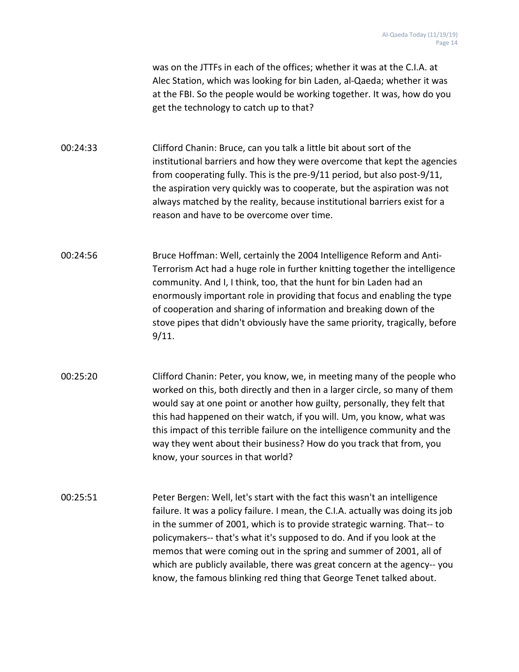was on the JTTFs in each of the offices; whether it was at the C.I.A. at Alec Station, which was looking for bin Laden, al-Qaeda; whether it was at the FBI. So the people would be working together. It was, how do you get the technology to catch up to that?

00:24:33 Clifford Chanin: Bruce, can you talk a little bit about sort of the institutional barriers and how they were overcome that kept the agencies from cooperating fully. This is the pre-9/11 period, but also post-9/11, the aspiration very quickly was to cooperate, but the aspiration was not always matched by the reality, because institutional barriers exist for a reason and have to be overcome over time.

00:24:56 Bruce Hoffman: Well, certainly the 2004 Intelligence Reform and Anti-Terrorism Act had a huge role in further knitting together the intelligence community. And I, I think, too, that the hunt for bin Laden had an enormously important role in providing that focus and enabling the type of cooperation and sharing of information and breaking down of the stove pipes that didn't obviously have the same priority, tragically, before 9/11.

00:25:20 Clifford Chanin: Peter, you know, we, in meeting many of the people who worked on this, both directly and then in a larger circle, so many of them would say at one point or another how guilty, personally, they felt that this had happened on their watch, if you will. Um, you know, what was this impact of this terrible failure on the intelligence community and the way they went about their business? How do you track that from, you know, your sources in that world?

00:25:51 Peter Bergen: Well, let's start with the fact this wasn't an intelligence failure. It was a policy failure. I mean, the C.I.A. actually was doing its job in the summer of 2001, which is to provide strategic warning. That-- to policymakers-- that's what it's supposed to do. And if you look at the memos that were coming out in the spring and summer of 2001, all of which are publicly available, there was great concern at the agency-- you know, the famous blinking red thing that George Tenet talked about.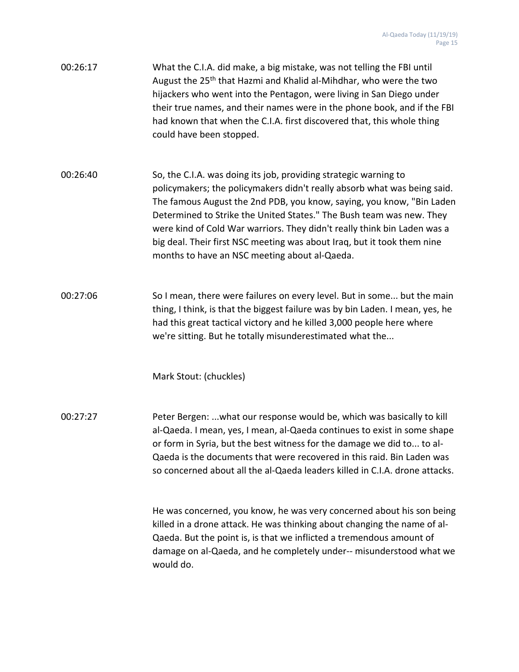| 00:26:17 | What the C.I.A. did make, a big mistake, was not telling the FBI until         |
|----------|--------------------------------------------------------------------------------|
|          | August the 25 <sup>th</sup> that Hazmi and Khalid al-Mihdhar, who were the two |
|          | hijackers who went into the Pentagon, were living in San Diego under           |
|          | their true names, and their names were in the phone book, and if the FBI       |
|          | had known that when the C.I.A. first discovered that, this whole thing         |
|          | could have been stopped.                                                       |

- 00:26:40 So, the C.I.A. was doing its job, providing strategic warning to policymakers; the policymakers didn't really absorb what was being said. The famous August the 2nd PDB, you know, saying, you know, "Bin Laden Determined to Strike the United States." The Bush team was new. They were kind of Cold War warriors. They didn't really think bin Laden was a big deal. Their first NSC meeting was about Iraq, but it took them nine months to have an NSC meeting about al-Qaeda.
- 00:27:06 So I mean, there were failures on every level. But in some... but the main thing, I think, is that the biggest failure was by bin Laden. I mean, yes, he had this great tactical victory and he killed 3,000 people here where we're sitting. But he totally misunderestimated what the...

Mark Stout: (chuckles)

00:27:27 Peter Bergen: ...what our response would be, which was basically to kill al-Qaeda. I mean, yes, I mean, al-Qaeda continues to exist in some shape or form in Syria, but the best witness for the damage we did to... to al-Qaeda is the documents that were recovered in this raid. Bin Laden was so concerned about all the al-Qaeda leaders killed in C.I.A. drone attacks.

> He was concerned, you know, he was very concerned about his son being killed in a drone attack. He was thinking about changing the name of al-Qaeda. But the point is, is that we inflicted a tremendous amount of damage on al-Qaeda, and he completely under-- misunderstood what we would do.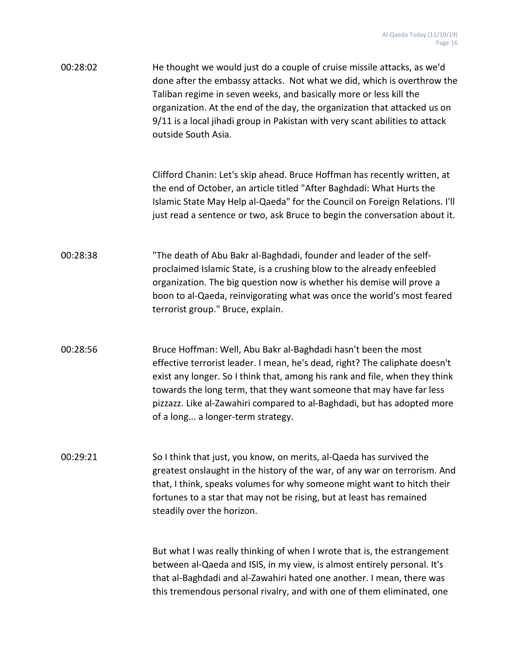| 00:28:02 | He thought we would just do a couple of cruise missile attacks, as we'd<br>done after the embassy attacks. Not what we did, which is overthrow the<br>Taliban regime in seven weeks, and basically more or less kill the<br>organization. At the end of the day, the organization that attacked us on<br>9/11 is a local jihadi group in Pakistan with very scant abilities to attack<br>outside South Asia. |
|----------|--------------------------------------------------------------------------------------------------------------------------------------------------------------------------------------------------------------------------------------------------------------------------------------------------------------------------------------------------------------------------------------------------------------|
|          | Clifford Chanin: Let's skip ahead. Bruce Hoffman has recently written, at<br>the end of October, an article titled "After Baghdadi: What Hurts the<br>Islamic State May Help al-Qaeda" for the Council on Foreign Relations. I'll<br>just read a sentence or two, ask Bruce to begin the conversation about it.                                                                                              |
| 00:28:38 | "The death of Abu Bakr al-Baghdadi, founder and leader of the self-<br>proclaimed Islamic State, is a crushing blow to the already enfeebled<br>organization. The big question now is whether his demise will prove a<br>boon to al-Qaeda, reinvigorating what was once the world's most feared<br>terrorist group." Bruce, explain.                                                                         |
| 00.29.56 | <u> Rruco Hoffman: Woll Abu Rakr al-Raghdadi basn't boon tho most</u>                                                                                                                                                                                                                                                                                                                                        |

- 00:28:56 Bruce Hoffman: Well, Abu Bakr al-Baghdadi hasn't been the most effective terrorist leader. I mean, he's dead, right? The caliphate doesn't exist any longer. So I think that, among his rank and file, when they think towards the long term, that they want someone that may have far less pizzazz. Like al-Zawahiri compared to al-Baghdadi, but has adopted more of a long... a longer-term strategy.
- 00:29:21 So I think that just, you know, on merits, al-Qaeda has survived the greatest onslaught in the history of the war, of any war on terrorism. And that, I think, speaks volumes for why someone might want to hitch their fortunes to a star that may not be rising, but at least has remained steadily over the horizon.

But what I was really thinking of when I wrote that is, the estrangement between al-Qaeda and ISIS, in my view, is almost entirely personal. It's that al-Baghdadi and al-Zawahiri hated one another. I mean, there was this tremendous personal rivalry, and with one of them eliminated, one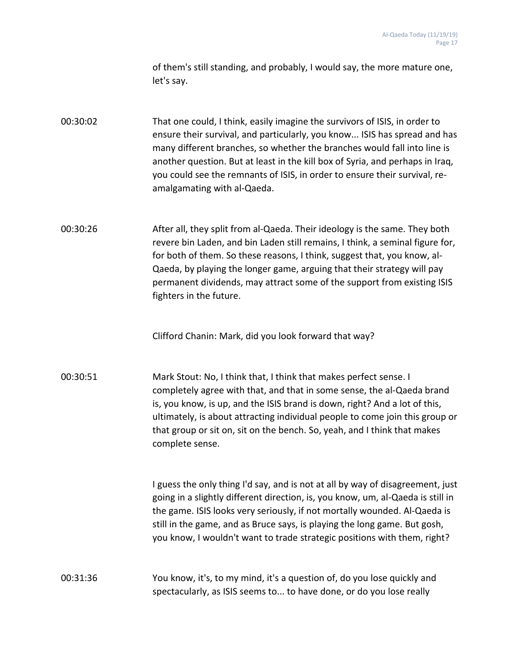of them's still standing, and probably, I would say, the more mature one, let's say.

00:30:02 That one could, I think, easily imagine the survivors of ISIS, in order to ensure their survival, and particularly, you know... ISIS has spread and has many different branches, so whether the branches would fall into line is another question. But at least in the kill box of Syria, and perhaps in Iraq, you could see the remnants of ISIS, in order to ensure their survival, reamalgamating with al-Qaeda.

00:30:26 After all, they split from al-Qaeda. Their ideology is the same. They both revere bin Laden, and bin Laden still remains, I think, a seminal figure for, for both of them. So these reasons, I think, suggest that, you know, al-Qaeda, by playing the longer game, arguing that their strategy will pay permanent dividends, may attract some of the support from existing ISIS fighters in the future.

Clifford Chanin: Mark, did you look forward that way?

00:30:51 Mark Stout: No, I think that, I think that makes perfect sense. I completely agree with that, and that in some sense, the al-Qaeda brand is, you know, is up, and the ISIS brand is down, right? And a lot of this, ultimately, is about attracting individual people to come join this group or that group or sit on, sit on the bench. So, yeah, and I think that makes complete sense.

> I guess the only thing I'd say, and is not at all by way of disagreement, just going in a slightly different direction, is, you know, um, al-Qaeda is still in the game. ISIS looks very seriously, if not mortally wounded. Al-Qaeda is still in the game, and as Bruce says, is playing the long game. But gosh, you know, I wouldn't want to trade strategic positions with them, right?

00:31:36 You know, it's, to my mind, it's a question of, do you lose quickly and spectacularly, as ISIS seems to... to have done, or do you lose really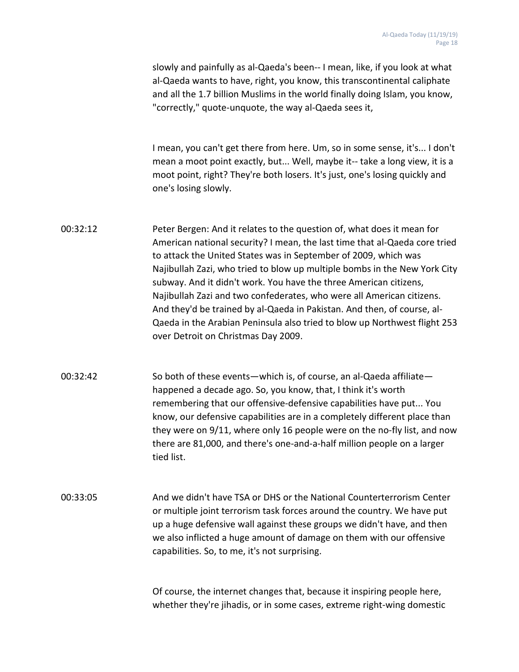slowly and painfully as al-Qaeda's been-- I mean, like, if you look at what al-Qaeda wants to have, right, you know, this transcontinental caliphate and all the 1.7 billion Muslims in the world finally doing Islam, you know, "correctly," quote-unquote, the way al-Qaeda sees it,

I mean, you can't get there from here. Um, so in some sense, it's... I don't mean a moot point exactly, but... Well, maybe it-- take a long view, it is a moot point, right? They're both losers. It's just, one's losing quickly and one's losing slowly.

- 00:32:12 Peter Bergen: And it relates to the question of, what does it mean for American national security? I mean, the last time that al-Qaeda core tried to attack the United States was in September of 2009, which was Najibullah Zazi, who tried to blow up multiple bombs in the New York City subway. And it didn't work. You have the three American citizens, Najibullah Zazi and two confederates, who were all American citizens. And they'd be trained by al-Qaeda in Pakistan. And then, of course, al-Qaeda in the Arabian Peninsula also tried to blow up Northwest flight 253 over Detroit on Christmas Day 2009.
- 00:32:42 So both of these events—which is, of course, an al-Qaeda affiliate happened a decade ago. So, you know, that, I think it's worth remembering that our offensive-defensive capabilities have put... You know, our defensive capabilities are in a completely different place than they were on 9/11, where only 16 people were on the no-fly list, and now there are 81,000, and there's one-and-a-half million people on a larger tied list.
- 00:33:05 And we didn't have TSA or DHS or the National Counterterrorism Center or multiple joint terrorism task forces around the country. We have put up a huge defensive wall against these groups we didn't have, and then we also inflicted a huge amount of damage on them with our offensive capabilities. So, to me, it's not surprising.

Of course, the internet changes that, because it inspiring people here, whether they're jihadis, or in some cases, extreme right-wing domestic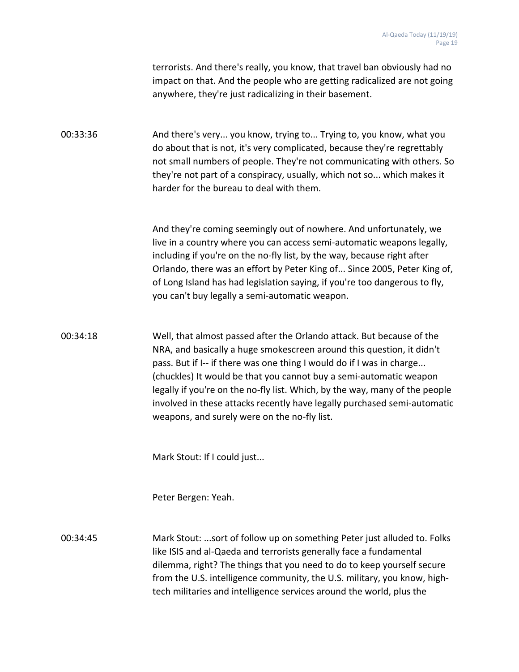terrorists. And there's really, you know, that travel ban obviously had no impact on that. And the people who are getting radicalized are not going anywhere, they're just radicalizing in their basement.

00:33:36 And there's very... you know, trying to... Trying to, you know, what you do about that is not, it's very complicated, because they're regrettably not small numbers of people. They're not communicating with others. So they're not part of a conspiracy, usually, which not so... which makes it harder for the bureau to deal with them.

> And they're coming seemingly out of nowhere. And unfortunately, we live in a country where you can access semi-automatic weapons legally, including if you're on the no-fly list, by the way, because right after Orlando, there was an effort by Peter King of... Since 2005, Peter King of, of Long Island has had legislation saying, if you're too dangerous to fly, you can't buy legally a semi-automatic weapon.

00:34:18 Well, that almost passed after the Orlando attack. But because of the NRA, and basically a huge smokescreen around this question, it didn't pass. But if I-- if there was one thing I would do if I was in charge... (chuckles) It would be that you cannot buy a semi-automatic weapon legally if you're on the no-fly list. Which, by the way, many of the people involved in these attacks recently have legally purchased semi-automatic weapons, and surely were on the no-fly list.

Mark Stout: If I could just...

Peter Bergen: Yeah.

00:34:45 Mark Stout: ...sort of follow up on something Peter just alluded to. Folks like ISIS and al-Qaeda and terrorists generally face a fundamental dilemma, right? The things that you need to do to keep yourself secure from the U.S. intelligence community, the U.S. military, you know, hightech militaries and intelligence services around the world, plus the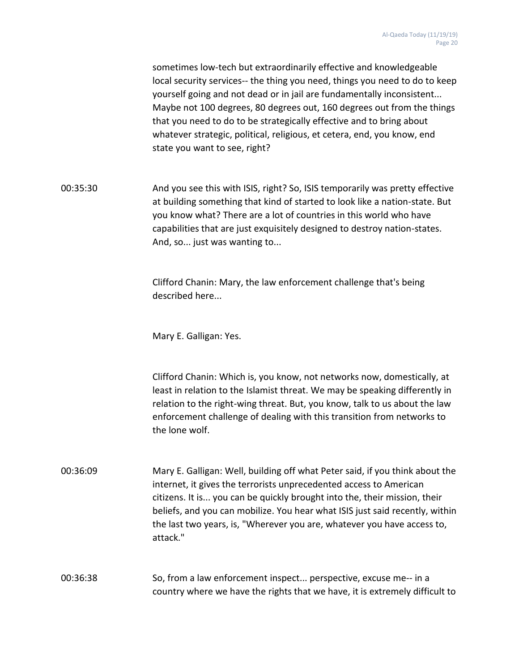sometimes low-tech but extraordinarily effective and knowledgeable local security services-- the thing you need, things you need to do to keep yourself going and not dead or in jail are fundamentally inconsistent... Maybe not 100 degrees, 80 degrees out, 160 degrees out from the things that you need to do to be strategically effective and to bring about whatever strategic, political, religious, et cetera, end, you know, end state you want to see, right?

00:35:30 And you see this with ISIS, right? So, ISIS temporarily was pretty effective at building something that kind of started to look like a nation-state. But you know what? There are a lot of countries in this world who have capabilities that are just exquisitely designed to destroy nation-states. And, so... just was wanting to...

> Clifford Chanin: Mary, the law enforcement challenge that's being described here...

Mary E. Galligan: Yes.

Clifford Chanin: Which is, you know, not networks now, domestically, at least in relation to the Islamist threat. We may be speaking differently in relation to the right-wing threat. But, you know, talk to us about the law enforcement challenge of dealing with this transition from networks to the lone wolf.

00:36:09 Mary E. Galligan: Well, building off what Peter said, if you think about the internet, it gives the terrorists unprecedented access to American citizens. It is... you can be quickly brought into the, their mission, their beliefs, and you can mobilize. You hear what ISIS just said recently, within the last two years, is, "Wherever you are, whatever you have access to, attack."

## 00:36:38 So, from a law enforcement inspect... perspective, excuse me-- in a country where we have the rights that we have, it is extremely difficult to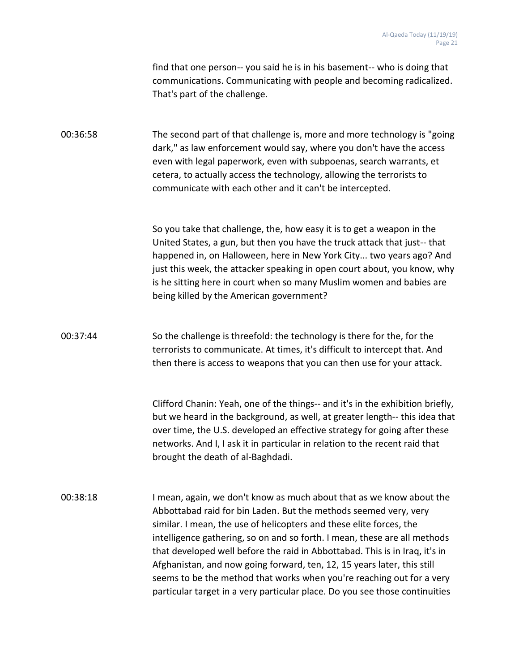find that one person-- you said he is in his basement-- who is doing that communications. Communicating with people and becoming radicalized. That's part of the challenge.

00:36:58 The second part of that challenge is, more and more technology is "going dark," as law enforcement would say, where you don't have the access even with legal paperwork, even with subpoenas, search warrants, et cetera, to actually access the technology, allowing the terrorists to communicate with each other and it can't be intercepted.

> So you take that challenge, the, how easy it is to get a weapon in the United States, a gun, but then you have the truck attack that just-- that happened in, on Halloween, here in New York City... two years ago? And just this week, the attacker speaking in open court about, you know, why is he sitting here in court when so many Muslim women and babies are being killed by the American government?

00:37:44 So the challenge is threefold: the technology is there for the, for the terrorists to communicate. At times, it's difficult to intercept that. And then there is access to weapons that you can then use for your attack.

> Clifford Chanin: Yeah, one of the things-- and it's in the exhibition briefly, but we heard in the background, as well, at greater length-- this idea that over time, the U.S. developed an effective strategy for going after these networks. And I, I ask it in particular in relation to the recent raid that brought the death of al-Baghdadi.

00:38:18 I mean, again, we don't know as much about that as we know about the Abbottabad raid for bin Laden. But the methods seemed very, very similar. I mean, the use of helicopters and these elite forces, the intelligence gathering, so on and so forth. I mean, these are all methods that developed well before the raid in Abbottabad. This is in Iraq, it's in Afghanistan, and now going forward, ten, 12, 15 years later, this still seems to be the method that works when you're reaching out for a very particular target in a very particular place. Do you see those continuities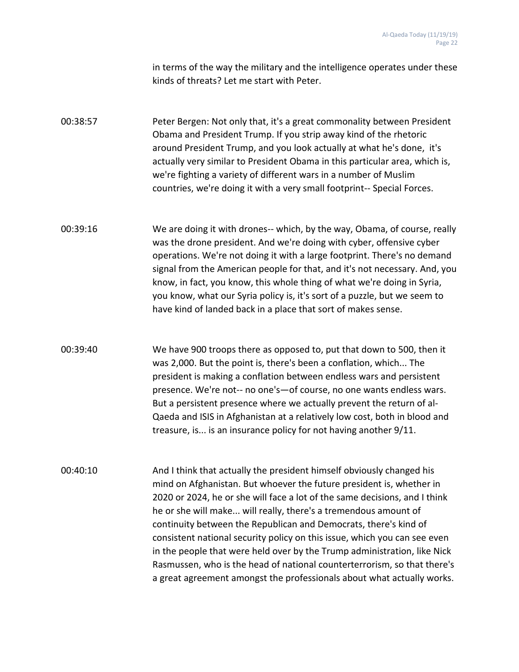in terms of the way the military and the intelligence operates under these kinds of threats? Let me start with Peter.

00:38:57 Peter Bergen: Not only that, it's a great commonality between President Obama and President Trump. If you strip away kind of the rhetoric around President Trump, and you look actually at what he's done, it's actually very similar to President Obama in this particular area, which is, we're fighting a variety of different wars in a number of Muslim countries, we're doing it with a very small footprint-- Special Forces.

- 00:39:16 We are doing it with drones-- which, by the way, Obama, of course, really was the drone president. And we're doing with cyber, offensive cyber operations. We're not doing it with a large footprint. There's no demand signal from the American people for that, and it's not necessary. And, you know, in fact, you know, this whole thing of what we're doing in Syria, you know, what our Syria policy is, it's sort of a puzzle, but we seem to have kind of landed back in a place that sort of makes sense.
- 00:39:40 We have 900 troops there as opposed to, put that down to 500, then it was 2,000. But the point is, there's been a conflation, which... The president is making a conflation between endless wars and persistent presence. We're not-- no one's—of course, no one wants endless wars. But a persistent presence where we actually prevent the return of al-Qaeda and ISIS in Afghanistan at a relatively low cost, both in blood and treasure, is... is an insurance policy for not having another 9/11.
- 00:40:10 And I think that actually the president himself obviously changed his mind on Afghanistan. But whoever the future president is, whether in 2020 or 2024, he or she will face a lot of the same decisions, and I think he or she will make... will really, there's a tremendous amount of continuity between the Republican and Democrats, there's kind of consistent national security policy on this issue, which you can see even in the people that were held over by the Trump administration, like Nick Rasmussen, who is the head of national counterterrorism, so that there's a great agreement amongst the professionals about what actually works.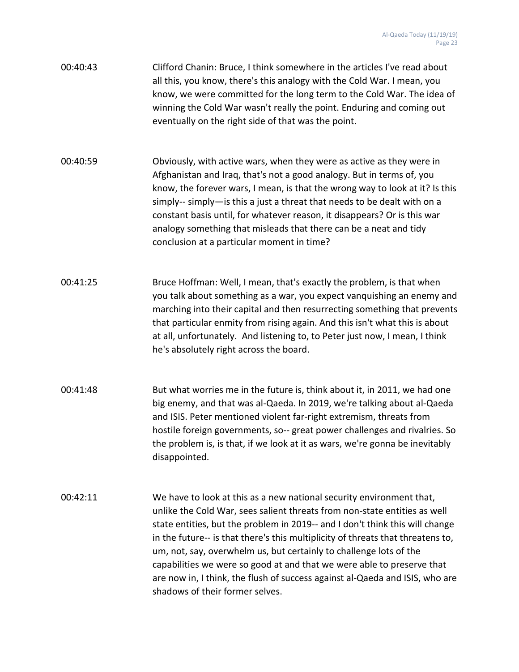- 00:40:43 Clifford Chanin: Bruce, I think somewhere in the articles I've read about all this, you know, there's this analogy with the Cold War. I mean, you know, we were committed for the long term to the Cold War. The idea of winning the Cold War wasn't really the point. Enduring and coming out eventually on the right side of that was the point.
- 00:40:59 Obviously, with active wars, when they were as active as they were in Afghanistan and Iraq, that's not a good analogy. But in terms of, you know, the forever wars, I mean, is that the wrong way to look at it? Is this simply-- simply—is this a just a threat that needs to be dealt with on a constant basis until, for whatever reason, it disappears? Or is this war analogy something that misleads that there can be a neat and tidy conclusion at a particular moment in time?
- 00:41:25 Bruce Hoffman: Well, I mean, that's exactly the problem, is that when you talk about something as a war, you expect vanquishing an enemy and marching into their capital and then resurrecting something that prevents that particular enmity from rising again. And this isn't what this is about at all, unfortunately. And listening to, to Peter just now, I mean, I think he's absolutely right across the board.
- 00:41:48 But what worries me in the future is, think about it, in 2011, we had one big enemy, and that was al-Qaeda. In 2019, we're talking about al-Qaeda and ISIS. Peter mentioned violent far-right extremism, threats from hostile foreign governments, so-- great power challenges and rivalries. So the problem is, is that, if we look at it as wars, we're gonna be inevitably disappointed.
- 00:42:11 We have to look at this as a new national security environment that, unlike the Cold War, sees salient threats from non-state entities as well state entities, but the problem in 2019-- and I don't think this will change in the future-- is that there's this multiplicity of threats that threatens to, um, not, say, overwhelm us, but certainly to challenge lots of the capabilities we were so good at and that we were able to preserve that are now in, I think, the flush of success against al-Qaeda and ISIS, who are shadows of their former selves.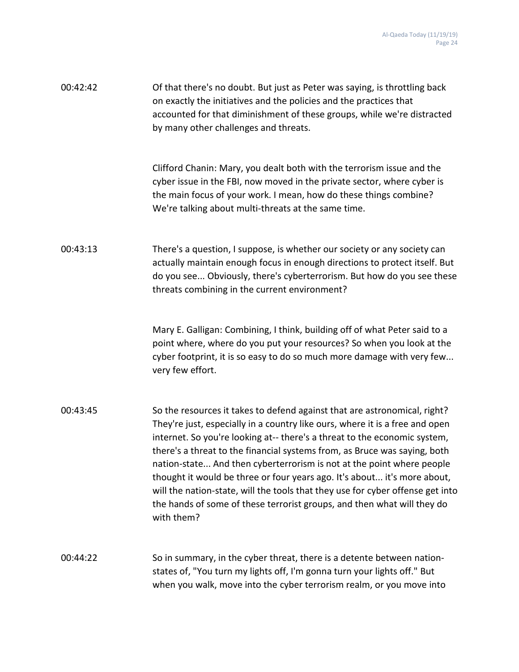| 00:42:42 | Of that there's no doubt. But just as Peter was saying, is throttling back |
|----------|----------------------------------------------------------------------------|
|          | on exactly the initiatives and the policies and the practices that         |
|          | accounted for that diminishment of these groups, while we're distracted    |
|          | by many other challenges and threats.                                      |

Clifford Chanin: Mary, you dealt both with the terrorism issue and the cyber issue in the FBI, now moved in the private sector, where cyber is the main focus of your work. I mean, how do these things combine? We're talking about multi-threats at the same time.

00:43:13 There's a question, I suppose, is whether our society or any society can actually maintain enough focus in enough directions to protect itself. But do you see... Obviously, there's cyberterrorism. But how do you see these threats combining in the current environment?

> Mary E. Galligan: Combining, I think, building off of what Peter said to a point where, where do you put your resources? So when you look at the cyber footprint, it is so easy to do so much more damage with very few... very few effort.

- 00:43:45 So the resources it takes to defend against that are astronomical, right? They're just, especially in a country like ours, where it is a free and open internet. So you're looking at-- there's a threat to the economic system, there's a threat to the financial systems from, as Bruce was saying, both nation-state... And then cyberterrorism is not at the point where people thought it would be three or four years ago. It's about... it's more about, will the nation-state, will the tools that they use for cyber offense get into the hands of some of these terrorist groups, and then what will they do with them?
- 00:44:22 So in summary, in the cyber threat, there is a detente between nationstates of, "You turn my lights off, I'm gonna turn your lights off." But when you walk, move into the cyber terrorism realm, or you move into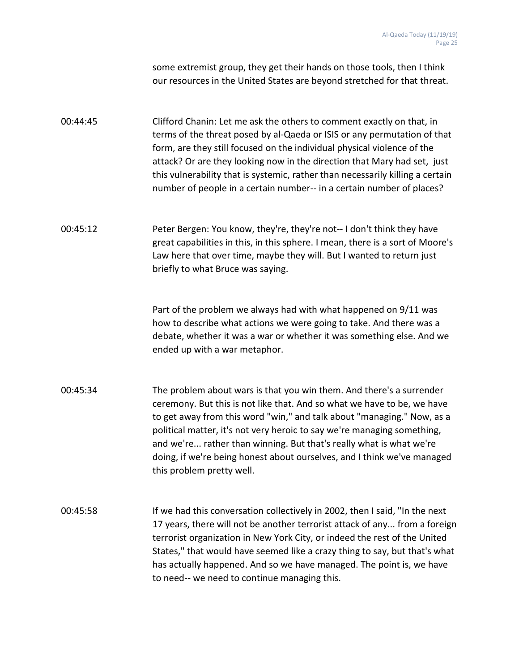some extremist group, they get their hands on those tools, then I think our resources in the United States are beyond stretched for that threat.

00:44:45 Clifford Chanin: Let me ask the others to comment exactly on that, in terms of the threat posed by al-Qaeda or ISIS or any permutation of that form, are they still focused on the individual physical violence of the attack? Or are they looking now in the direction that Mary had set, just this vulnerability that is systemic, rather than necessarily killing a certain number of people in a certain number-- in a certain number of places?

00:45:12 Peter Bergen: You know, they're, they're not-- I don't think they have great capabilities in this, in this sphere. I mean, there is a sort of Moore's Law here that over time, maybe they will. But I wanted to return just briefly to what Bruce was saying.

> Part of the problem we always had with what happened on 9/11 was how to describe what actions we were going to take. And there was a debate, whether it was a war or whether it was something else. And we ended up with a war metaphor.

- 00:45:34 The problem about wars is that you win them. And there's a surrender ceremony. But this is not like that. And so what we have to be, we have to get away from this word "win," and talk about "managing." Now, as a political matter, it's not very heroic to say we're managing something, and we're... rather than winning. But that's really what is what we're doing, if we're being honest about ourselves, and I think we've managed this problem pretty well.
- 00:45:58 If we had this conversation collectively in 2002, then I said, "In the next 17 years, there will not be another terrorist attack of any... from a foreign terrorist organization in New York City, or indeed the rest of the United States," that would have seemed like a crazy thing to say, but that's what has actually happened. And so we have managed. The point is, we have to need-- we need to continue managing this.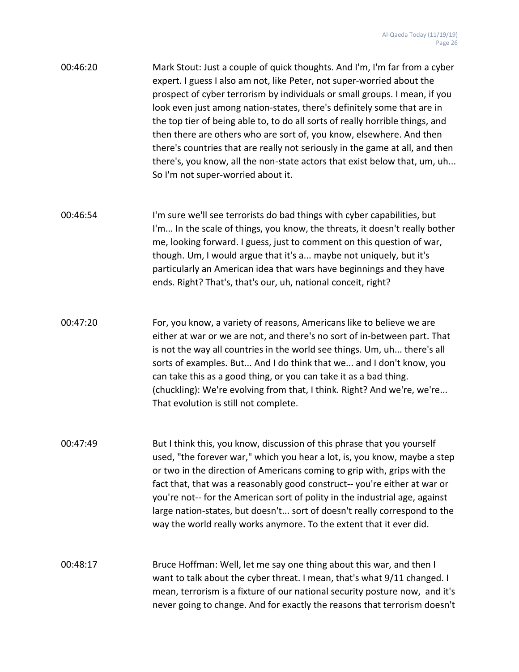| 00:46:20 | Mark Stout: Just a couple of quick thoughts. And I'm, I'm far from a cyber    |
|----------|-------------------------------------------------------------------------------|
|          | expert. I guess I also am not, like Peter, not super-worried about the        |
|          | prospect of cyber terrorism by individuals or small groups. I mean, if you    |
|          | look even just among nation-states, there's definitely some that are in       |
|          | the top tier of being able to, to do all sorts of really horrible things, and |
|          | then there are others who are sort of, you know, elsewhere. And then          |
|          | there's countries that are really not seriously in the game at all, and then  |
|          | there's, you know, all the non-state actors that exist below that, um, uh     |
|          | So I'm not super-worried about it.                                            |

- 00:46:54 I'm sure we'll see terrorists do bad things with cyber capabilities, but I'm... In the scale of things, you know, the threats, it doesn't really bother me, looking forward. I guess, just to comment on this question of war, though. Um, I would argue that it's a... maybe not uniquely, but it's particularly an American idea that wars have beginnings and they have ends. Right? That's, that's our, uh, national conceit, right?
- 00:47:20 For, you know, a variety of reasons, Americans like to believe we are either at war or we are not, and there's no sort of in-between part. That is not the way all countries in the world see things. Um, uh... there's all sorts of examples. But... And I do think that we... and I don't know, you can take this as a good thing, or you can take it as a bad thing. (chuckling): We're evolving from that, I think. Right? And we're, we're... That evolution is still not complete.
- 00:47:49 But I think this, you know, discussion of this phrase that you yourself used, "the forever war," which you hear a lot, is, you know, maybe a step or two in the direction of Americans coming to grip with, grips with the fact that, that was a reasonably good construct-- you're either at war or you're not-- for the American sort of polity in the industrial age, against large nation-states, but doesn't... sort of doesn't really correspond to the way the world really works anymore. To the extent that it ever did.
- 00:48:17 Bruce Hoffman: Well, let me say one thing about this war, and then I want to talk about the cyber threat. I mean, that's what 9/11 changed. I mean, terrorism is a fixture of our national security posture now, and it's never going to change. And for exactly the reasons that terrorism doesn't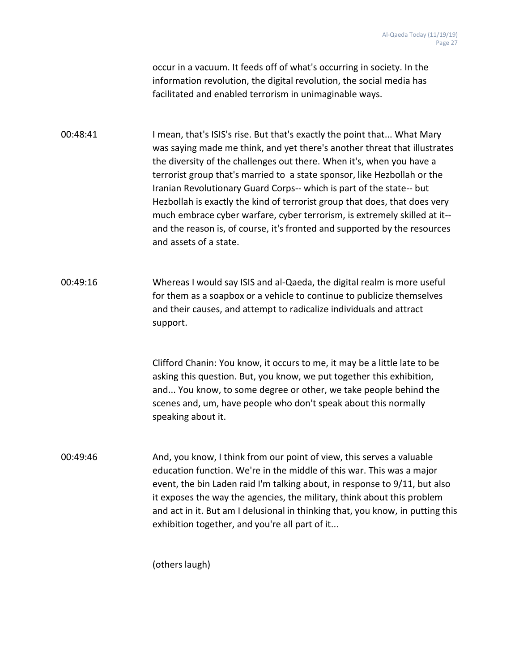occur in a vacuum. It feeds off of what's occurring in society. In the information revolution, the digital revolution, the social media has facilitated and enabled terrorism in unimaginable ways.

00:48:41 I mean, that's ISIS's rise. But that's exactly the point that... What Mary was saying made me think, and yet there's another threat that illustrates the diversity of the challenges out there. When it's, when you have a terrorist group that's married to a state sponsor, like Hezbollah or the Iranian Revolutionary Guard Corps-- which is part of the state-- but Hezbollah is exactly the kind of terrorist group that does, that does very much embrace cyber warfare, cyber terrorism, is extremely skilled at it- and the reason is, of course, it's fronted and supported by the resources and assets of a state.

00:49:16 Whereas I would say ISIS and al-Qaeda, the digital realm is more useful for them as a soapbox or a vehicle to continue to publicize themselves and their causes, and attempt to radicalize individuals and attract support.

> Clifford Chanin: You know, it occurs to me, it may be a little late to be asking this question. But, you know, we put together this exhibition, and... You know, to some degree or other, we take people behind the scenes and, um, have people who don't speak about this normally speaking about it.

00:49:46 And, you know, I think from our point of view, this serves a valuable education function. We're in the middle of this war. This was a major event, the bin Laden raid I'm talking about, in response to 9/11, but also it exposes the way the agencies, the military, think about this problem and act in it. But am I delusional in thinking that, you know, in putting this exhibition together, and you're all part of it...

(others laugh)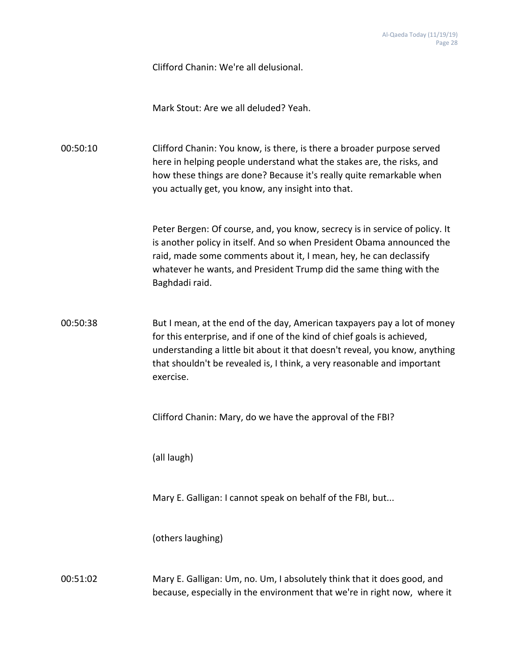Clifford Chanin: We're all delusional.

Mark Stout: Are we all deluded? Yeah.

00:50:10 Clifford Chanin: You know, is there, is there a broader purpose served here in helping people understand what the stakes are, the risks, and how these things are done? Because it's really quite remarkable when you actually get, you know, any insight into that.

> Peter Bergen: Of course, and, you know, secrecy is in service of policy. It is another policy in itself. And so when President Obama announced the raid, made some comments about it, I mean, hey, he can declassify whatever he wants, and President Trump did the same thing with the Baghdadi raid.

00:50:38 But I mean, at the end of the day, American taxpayers pay a lot of money for this enterprise, and if one of the kind of chief goals is achieved, understanding a little bit about it that doesn't reveal, you know, anything that shouldn't be revealed is, I think, a very reasonable and important exercise.

Clifford Chanin: Mary, do we have the approval of the FBI?

(all laugh)

Mary E. Galligan: I cannot speak on behalf of the FBI, but...

(others laughing)

00:51:02 Mary E. Galligan: Um, no. Um, I absolutely think that it does good, and because, especially in the environment that we're in right now, where it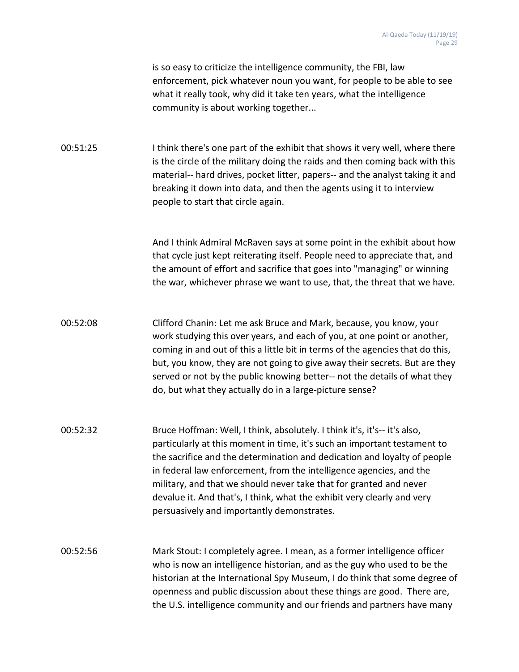| is so easy to criticize the intelligence community, the FBI, law       |
|------------------------------------------------------------------------|
| enforcement, pick whatever noun you want, for people to be able to see |
| what it really took, why did it take ten years, what the intelligence  |
| community is about working together                                    |

00:51:25 I think there's one part of the exhibit that shows it very well, where there is the circle of the military doing the raids and then coming back with this material-- hard drives, pocket litter, papers-- and the analyst taking it and breaking it down into data, and then the agents using it to interview people to start that circle again.

> And I think Admiral McRaven says at some point in the exhibit about how that cycle just kept reiterating itself. People need to appreciate that, and the amount of effort and sacrifice that goes into "managing" or winning the war, whichever phrase we want to use, that, the threat that we have.

- 00:52:08 Clifford Chanin: Let me ask Bruce and Mark, because, you know, your work studying this over years, and each of you, at one point or another, coming in and out of this a little bit in terms of the agencies that do this, but, you know, they are not going to give away their secrets. But are they served or not by the public knowing better-- not the details of what they do, but what they actually do in a large-picture sense?
- 00:52:32 Bruce Hoffman: Well, I think, absolutely. I think it's, it's-- it's also, particularly at this moment in time, it's such an important testament to the sacrifice and the determination and dedication and loyalty of people in federal law enforcement, from the intelligence agencies, and the military, and that we should never take that for granted and never devalue it. And that's, I think, what the exhibit very clearly and very persuasively and importantly demonstrates.
- 00:52:56 Mark Stout: I completely agree. I mean, as a former intelligence officer who is now an intelligence historian, and as the guy who used to be the historian at the International Spy Museum, I do think that some degree of openness and public discussion about these things are good. There are, the U.S. intelligence community and our friends and partners have many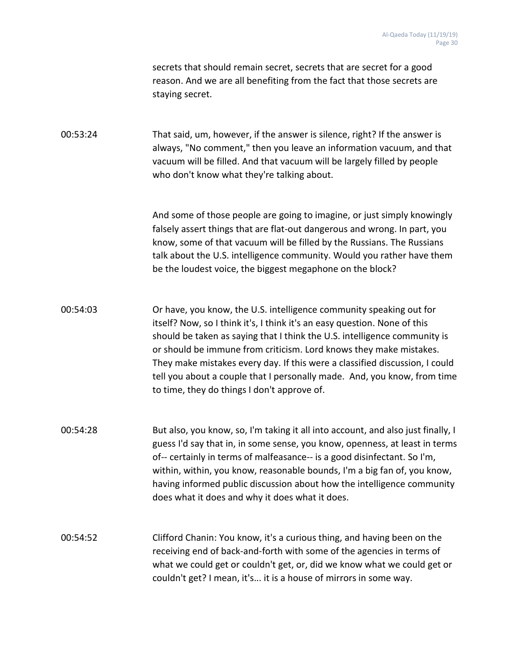secrets that should remain secret, secrets that are secret for a good reason. And we are all benefiting from the fact that those secrets are staying secret.

00:53:24 That said, um, however, if the answer is silence, right? If the answer is always, "No comment," then you leave an information vacuum, and that vacuum will be filled. And that vacuum will be largely filled by people who don't know what they're talking about.

> And some of those people are going to imagine, or just simply knowingly falsely assert things that are flat-out dangerous and wrong. In part, you know, some of that vacuum will be filled by the Russians. The Russians talk about the U.S. intelligence community. Would you rather have them be the loudest voice, the biggest megaphone on the block?

- 00:54:03 Or have, you know, the U.S. intelligence community speaking out for itself? Now, so I think it's, I think it's an easy question. None of this should be taken as saying that I think the U.S. intelligence community is or should be immune from criticism. Lord knows they make mistakes. They make mistakes every day. If this were a classified discussion, I could tell you about a couple that I personally made. And, you know, from time to time, they do things I don't approve of.
- 00:54:28 But also, you know, so, I'm taking it all into account, and also just finally, I guess I'd say that in, in some sense, you know, openness, at least in terms of-- certainly in terms of malfeasance-- is a good disinfectant. So I'm, within, within, you know, reasonable bounds, I'm a big fan of, you know, having informed public discussion about how the intelligence community does what it does and why it does what it does.
- 00:54:52 Clifford Chanin: You know, it's a curious thing, and having been on the receiving end of back-and-forth with some of the agencies in terms of what we could get or couldn't get, or, did we know what we could get or couldn't get? I mean, it's... it is a house of mirrors in some way.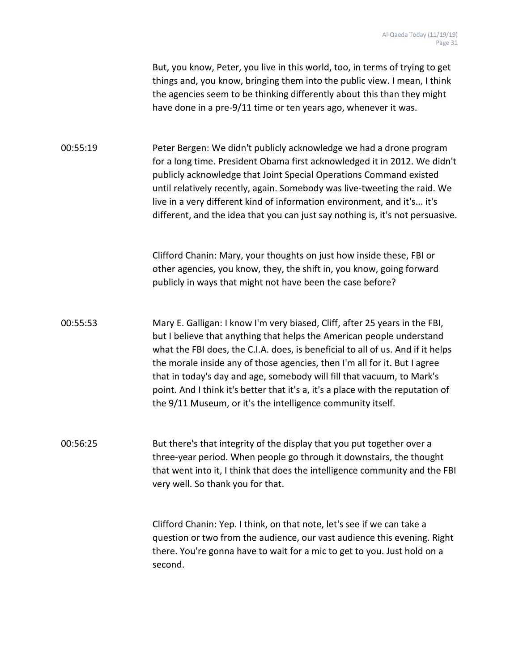|          | But, you know, Peter, you live in this world, too, in terms of trying to get<br>things and, you know, bringing them into the public view. I mean, I think<br>the agencies seem to be thinking differently about this than they might<br>have done in a pre-9/11 time or ten years ago, whenever it was.                                                                                                                                                                                                                                          |
|----------|--------------------------------------------------------------------------------------------------------------------------------------------------------------------------------------------------------------------------------------------------------------------------------------------------------------------------------------------------------------------------------------------------------------------------------------------------------------------------------------------------------------------------------------------------|
| 00:55:19 | Peter Bergen: We didn't publicly acknowledge we had a drone program<br>for a long time. President Obama first acknowledged it in 2012. We didn't<br>publicly acknowledge that Joint Special Operations Command existed<br>until relatively recently, again. Somebody was live-tweeting the raid. We<br>live in a very different kind of information environment, and it's it's<br>different, and the idea that you can just say nothing is, it's not persuasive.                                                                                 |
|          | Clifford Chanin: Mary, your thoughts on just how inside these, FBI or<br>other agencies, you know, they, the shift in, you know, going forward<br>publicly in ways that might not have been the case before?                                                                                                                                                                                                                                                                                                                                     |
| 00:55:53 | Mary E. Galligan: I know I'm very biased, Cliff, after 25 years in the FBI,<br>but I believe that anything that helps the American people understand<br>what the FBI does, the C.I.A. does, is beneficial to all of us. And if it helps<br>the morale inside any of those agencies, then I'm all for it. But I agree<br>that in today's day and age, somebody will fill that vacuum, to Mark's<br>point. And I think it's better that it's a, it's a place with the reputation of<br>the 9/11 Museum, or it's the intelligence community itself. |
| 00:56:25 | But there's that integrity of the display that you put together over a<br>three-year period. When people go through it downstairs, the thought<br>that went into it, I think that does the intelligence community and the FBI<br>very well. So thank you for that.                                                                                                                                                                                                                                                                               |
|          | Clifford Chanin: Yep. I think, on that note, let's see if we can take a<br>question or two from the audience, our vast audience this evening. Right<br>there. You're gonna have to wait for a mic to get to you. Just hold on a<br>second.                                                                                                                                                                                                                                                                                                       |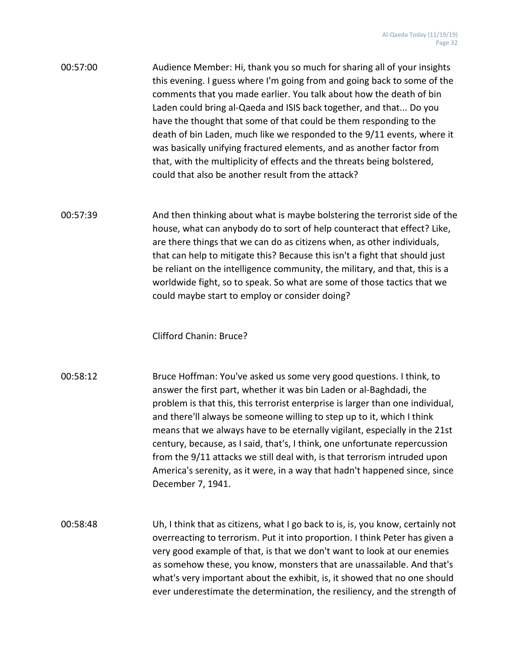| 00:57:00 | Audience Member: Hi, thank you so much for sharing all of your insights  |
|----------|--------------------------------------------------------------------------|
|          | this evening. I guess where I'm going from and going back to some of the |
|          | comments that you made earlier. You talk about how the death of bin      |
|          | Laden could bring al-Qaeda and ISIS back together, and that Do you       |
|          | have the thought that some of that could be them responding to the       |
|          | death of bin Laden, much like we responded to the 9/11 events, where it  |
|          | was basically unifying fractured elements, and as another factor from    |
|          | that, with the multiplicity of effects and the threats being bolstered,  |
|          | could that also be another result from the attack?                       |

00:57:39 And then thinking about what is maybe bolstering the terrorist side of the house, what can anybody do to sort of help counteract that effect? Like, are there things that we can do as citizens when, as other individuals, that can help to mitigate this? Because this isn't a fight that should just be reliant on the intelligence community, the military, and that, this is a worldwide fight, so to speak. So what are some of those tactics that we could maybe start to employ or consider doing?

Clifford Chanin: Bruce?

- 00:58:12 Bruce Hoffman: You've asked us some very good questions. I think, to answer the first part, whether it was bin Laden or al-Baghdadi, the problem is that this, this terrorist enterprise is larger than one individual, and there'll always be someone willing to step up to it, which I think means that we always have to be eternally vigilant, especially in the 21st century, because, as I said, that's, I think, one unfortunate repercussion from the 9/11 attacks we still deal with, is that terrorism intruded upon America's serenity, as it were, in a way that hadn't happened since, since December 7, 1941.
- 00:58:48 Uh, I think that as citizens, what I go back to is, is, you know, certainly not overreacting to terrorism. Put it into proportion. I think Peter has given a very good example of that, is that we don't want to look at our enemies as somehow these, you know, monsters that are unassailable. And that's what's very important about the exhibit, is, it showed that no one should ever underestimate the determination, the resiliency, and the strength of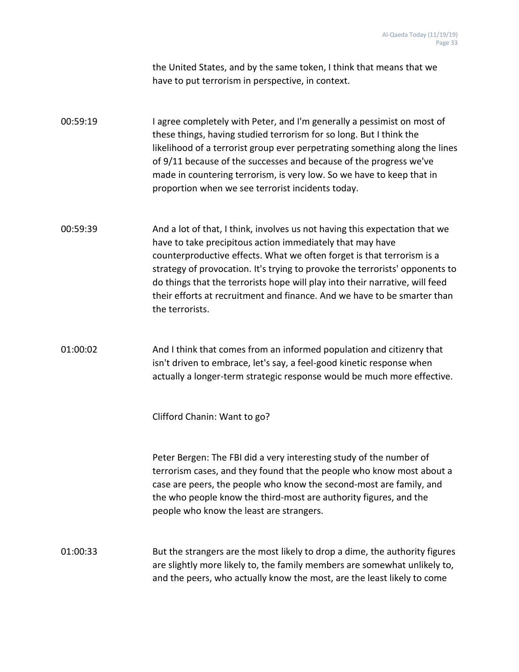the United States, and by the same token, I think that means that we have to put terrorism in perspective, in context.

00:59:19 I agree completely with Peter, and I'm generally a pessimist on most of these things, having studied terrorism for so long. But I think the likelihood of a terrorist group ever perpetrating something along the lines of 9/11 because of the successes and because of the progress we've made in countering terrorism, is very low. So we have to keep that in proportion when we see terrorist incidents today.

00:59:39 And a lot of that, I think, involves us not having this expectation that we have to take precipitous action immediately that may have counterproductive effects. What we often forget is that terrorism is a strategy of provocation. It's trying to provoke the terrorists' opponents to do things that the terrorists hope will play into their narrative, will feed their efforts at recruitment and finance. And we have to be smarter than the terrorists.

01:00:02 And I think that comes from an informed population and citizenry that isn't driven to embrace, let's say, a feel-good kinetic response when actually a longer-term strategic response would be much more effective.

Clifford Chanin: Want to go?

Peter Bergen: The FBI did a very interesting study of the number of terrorism cases, and they found that the people who know most about a case are peers, the people who know the second-most are family, and the who people know the third-most are authority figures, and the people who know the least are strangers.

01:00:33 But the strangers are the most likely to drop a dime, the authority figures are slightly more likely to, the family members are somewhat unlikely to, and the peers, who actually know the most, are the least likely to come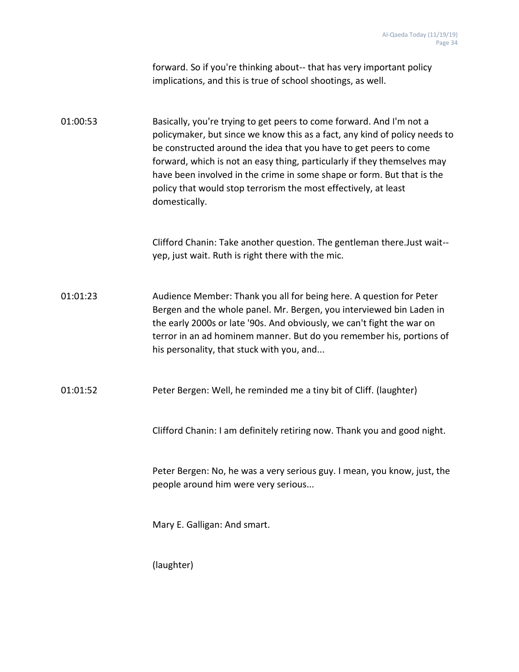forward. So if you're thinking about-- that has very important policy implications, and this is true of school shootings, as well.

01:00:53 Basically, you're trying to get peers to come forward. And I'm not a policymaker, but since we know this as a fact, any kind of policy needs to be constructed around the idea that you have to get peers to come forward, which is not an easy thing, particularly if they themselves may have been involved in the crime in some shape or form. But that is the policy that would stop terrorism the most effectively, at least domestically.

> Clifford Chanin: Take another question. The gentleman there.Just wait- yep, just wait. Ruth is right there with the mic.

01:01:23 Audience Member: Thank you all for being here. A question for Peter Bergen and the whole panel. Mr. Bergen, you interviewed bin Laden in the early 2000s or late '90s. And obviously, we can't fight the war on terror in an ad hominem manner. But do you remember his, portions of his personality, that stuck with you, and...

01:01:52 Peter Bergen: Well, he reminded me a tiny bit of Cliff. (laughter)

Clifford Chanin: I am definitely retiring now. Thank you and good night.

Peter Bergen: No, he was a very serious guy. I mean, you know, just, the people around him were very serious...

Mary E. Galligan: And smart.

(laughter)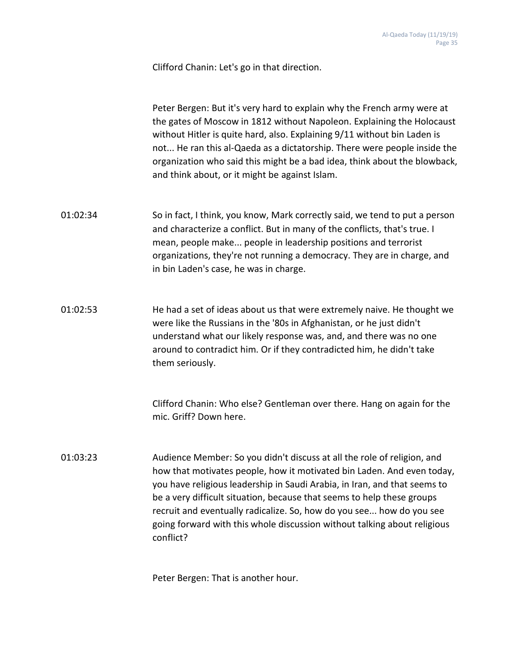## Clifford Chanin: Let's go in that direction.

Peter Bergen: But it's very hard to explain why the French army were at the gates of Moscow in 1812 without Napoleon. Explaining the Holocaust without Hitler is quite hard, also. Explaining 9/11 without bin Laden is not... He ran this al-Qaeda as a dictatorship. There were people inside the organization who said this might be a bad idea, think about the blowback, and think about, or it might be against Islam.

- 01:02:34 So in fact, I think, you know, Mark correctly said, we tend to put a person and characterize a conflict. But in many of the conflicts, that's true. I mean, people make... people in leadership positions and terrorist organizations, they're not running a democracy. They are in charge, and in bin Laden's case, he was in charge.
- 01:02:53 He had a set of ideas about us that were extremely naive. He thought we were like the Russians in the '80s in Afghanistan, or he just didn't understand what our likely response was, and, and there was no one around to contradict him. Or if they contradicted him, he didn't take them seriously.

Clifford Chanin: Who else? Gentleman over there. Hang on again for the mic. Griff? Down here.

01:03:23 Audience Member: So you didn't discuss at all the role of religion, and how that motivates people, how it motivated bin Laden. And even today, you have religious leadership in Saudi Arabia, in Iran, and that seems to be a very difficult situation, because that seems to help these groups recruit and eventually radicalize. So, how do you see... how do you see going forward with this whole discussion without talking about religious conflict?

Peter Bergen: That is another hour.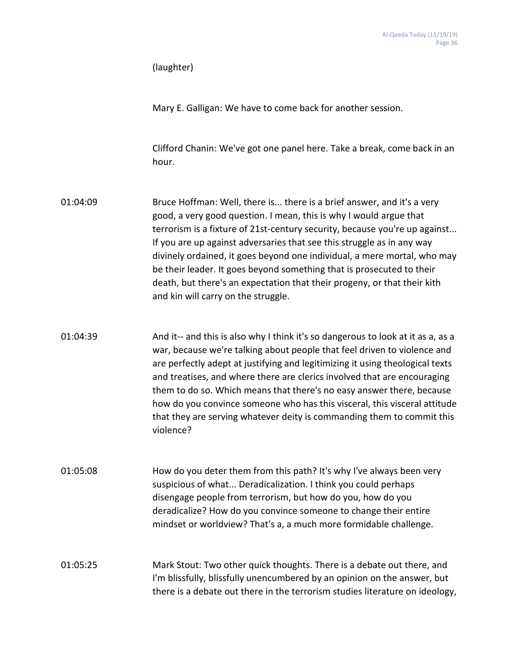(laughter)

Mary E. Galligan: We have to come back for another session.

Clifford Chanin: We've got one panel here. Take a break, come back in an hour.

01:04:09 Bruce Hoffman: Well, there is... there is a brief answer, and it's a very good, a very good question. I mean, this is why I would argue that terrorism is a fixture of 21st-century security, because you're up against... If you are up against adversaries that see this struggle as in any way divinely ordained, it goes beyond one individual, a mere mortal, who may be their leader. It goes beyond something that is prosecuted to their death, but there's an expectation that their progeny, or that their kith and kin will carry on the struggle.

01:04:39 And it-- and this is also why I think it's so dangerous to look at it as a, as a war, because we're talking about people that feel driven to violence and are perfectly adept at justifying and legitimizing it using theological texts and treatises, and where there are clerics involved that are encouraging them to do so. Which means that there's no easy answer there, because how do you convince someone who has this visceral, this visceral attitude that they are serving whatever deity is commanding them to commit this violence?

01:05:08 How do you deter them from this path? It's why I've always been very suspicious of what... Deradicalization. I think you could perhaps disengage people from terrorism, but how do you, how do you deradicalize? How do you convince someone to change their entire mindset or worldview? That's a, a much more formidable challenge.

## 01:05:25 Mark Stout: Two other quick thoughts. There is a debate out there, and I'm blissfully, blissfully unencumbered by an opinion on the answer, but there is a debate out there in the terrorism studies literature on ideology,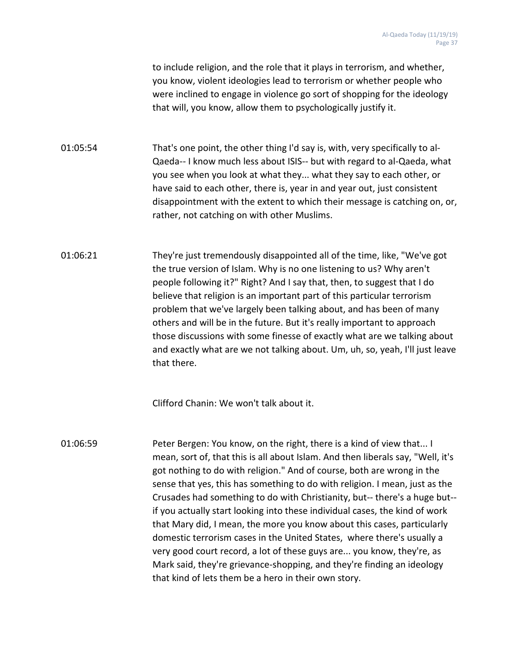to include religion, and the role that it plays in terrorism, and whether, you know, violent ideologies lead to terrorism or whether people who were inclined to engage in violence go sort of shopping for the ideology that will, you know, allow them to psychologically justify it.

01:05:54 That's one point, the other thing I'd say is, with, very specifically to al-Qaeda-- I know much less about ISIS-- but with regard to al-Qaeda, what you see when you look at what they... what they say to each other, or have said to each other, there is, year in and year out, just consistent disappointment with the extent to which their message is catching on, or, rather, not catching on with other Muslims.

01:06:21 They're just tremendously disappointed all of the time, like, "We've got the true version of Islam. Why is no one listening to us? Why aren't people following it?" Right? And I say that, then, to suggest that I do believe that religion is an important part of this particular terrorism problem that we've largely been talking about, and has been of many others and will be in the future. But it's really important to approach those discussions with some finesse of exactly what are we talking about and exactly what are we not talking about. Um, uh, so, yeah, I'll just leave that there.

Clifford Chanin: We won't talk about it.

01:06:59 Peter Bergen: You know, on the right, there is a kind of view that... I mean, sort of, that this is all about Islam. And then liberals say, "Well, it's got nothing to do with religion." And of course, both are wrong in the sense that yes, this has something to do with religion. I mean, just as the Crusades had something to do with Christianity, but-- there's a huge but- if you actually start looking into these individual cases, the kind of work that Mary did, I mean, the more you know about this cases, particularly domestic terrorism cases in the United States, where there's usually a very good court record, a lot of these guys are... you know, they're, as Mark said, they're grievance-shopping, and they're finding an ideology that kind of lets them be a hero in their own story.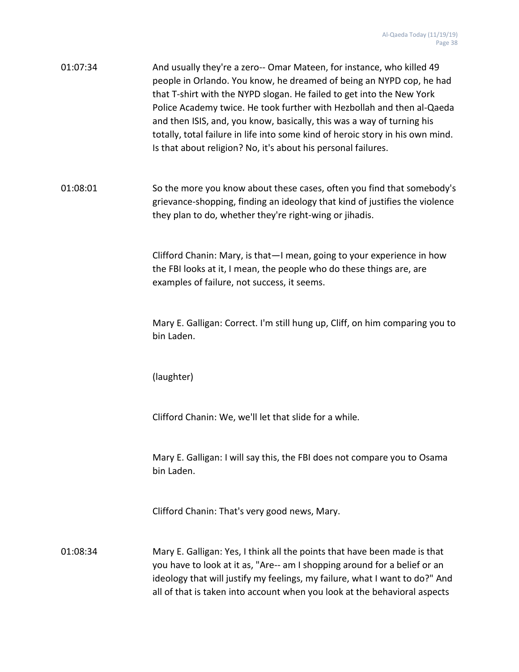| 01:07:34 | And usually they're a zero-- Omar Mateen, for instance, who killed 49          |
|----------|--------------------------------------------------------------------------------|
|          | people in Orlando. You know, he dreamed of being an NYPD cop, he had           |
|          | that T-shirt with the NYPD slogan. He failed to get into the New York          |
|          | Police Academy twice. He took further with Hezbollah and then al-Qaeda         |
|          | and then ISIS, and, you know, basically, this was a way of turning his         |
|          | totally, total failure in life into some kind of heroic story in his own mind. |
|          | Is that about religion? No, it's about his personal failures.                  |

01:08:01 So the more you know about these cases, often you find that somebody's grievance-shopping, finding an ideology that kind of justifies the violence they plan to do, whether they're right-wing or jihadis.

> Clifford Chanin: Mary, is that—I mean, going to your experience in how the FBI looks at it, I mean, the people who do these things are, are examples of failure, not success, it seems.

Mary E. Galligan: Correct. I'm still hung up, Cliff, on him comparing you to bin Laden.

(laughter)

Clifford Chanin: We, we'll let that slide for a while.

Mary E. Galligan: I will say this, the FBI does not compare you to Osama bin Laden.

Clifford Chanin: That's very good news, Mary.

01:08:34 Mary E. Galligan: Yes, I think all the points that have been made is that you have to look at it as, "Are-- am I shopping around for a belief or an ideology that will justify my feelings, my failure, what I want to do?" And all of that is taken into account when you look at the behavioral aspects